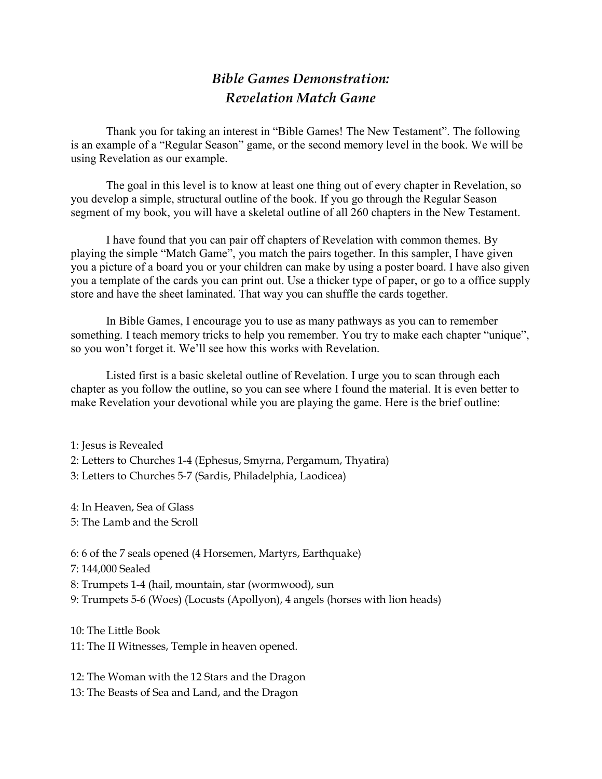## *Bible Games Demonstration: Revelation Match Game*

 Thank you for taking an interest in "Bible Games! The New Testament". The following is an example of a "Regular Season" game, or the second memory level in the book. We will be using Revelation as our example.

The goal in this level is to know at least one thing out of every chapter in Revelation, so you develop a simple, structural outline of the book. If you go through the Regular Season segment of my book, you will have a skeletal outline of all 260 chapters in the New Testament.

I have found that you can pair off chapters of Revelation with common themes. By playing the simple "Match Game", you match the pairs together. In this sampler, I have given you a picture of a board you or your children can make by using a poster board. I have also given you a template of the cards you can print out. Use a thicker type of paper, or go to a office supply store and have the sheet laminated. That way you can shuffle the cards together.

In Bible Games, I encourage you to use as many pathways as you can to remember something. I teach memory tricks to help you remember. You try to make each chapter "unique", so you won't forget it. We'll see how this works with Revelation.

Listed first is a basic skeletal outline of Revelation. I urge you to scan through each chapter as you follow the outline, so you can see where I found the material. It is even better to make Revelation your devotional while you are playing the game. Here is the brief outline:

1: Jesus is Revealed 2: Letters to Churches 1-4 (Ephesus, Smyrna, Pergamum, Thyatira) 3: Letters to Churches 5-7 (Sardis, Philadelphia, Laodicea)

4: In Heaven, Sea of Glass

5: The Lamb and the Scroll

6: 6 of the 7 seals opened (4 Horsemen, Martyrs, Earthquake)

7: 144,000 Sealed

8: Trumpets 1-4 (hail, mountain, star (wormwood), sun

9: Trumpets 5-6 (Woes) (Locusts (Apollyon), 4 angels (horses with lion heads)

10: The Little Book

11: The II Witnesses, Temple in heaven opened.

12: The Woman with the 12 Stars and the Dragon 13: The Beasts of Sea and Land, and the Dragon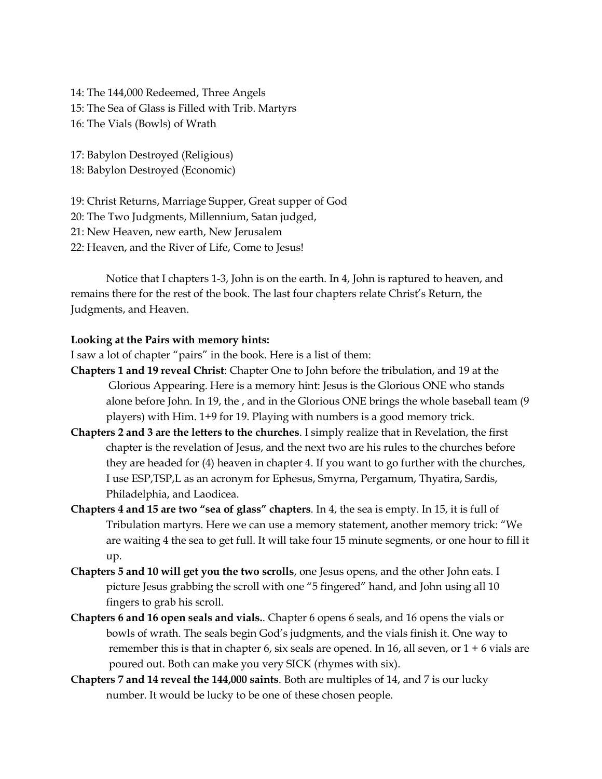14: The 144,000 Redeemed, Three Angels 15: The Sea of Glass is Filled with Trib. Martyrs 16: The Vials (Bowls) of Wrath

17: Babylon Destroyed (Religious) 18: Babylon Destroyed (Economic)

19: Christ Returns, Marriage Supper, Great supper of God 20: The Two Judgments, Millennium, Satan judged, 21: New Heaven, new earth, New Jerusalem 22: Heaven, and the River of Life, Come to Jesus!

Notice that I chapters 1-3, John is on the earth. In 4, John is raptured to heaven, and remains there for the rest of the book. The last four chapters relate Christ's Return, the Judgments, and Heaven.

### **Looking at the Pairs with memory hints:**

I saw a lot of chapter "pairs" in the book. Here is a list of them:

- **Chapters 1 and 19 reveal Christ**: Chapter One to John before the tribulation, and 19 at the Glorious Appearing. Here is a memory hint: Jesus is the Glorious ONE who stands alone before John. In 19, the , and in the Glorious ONE brings the whole baseball team (9 players) with Him. 1+9 for 19. Playing with numbers is a good memory trick.
- **Chapters 2 and 3 are the letters to the churches**. I simply realize that in Revelation, the first chapter is the revelation of Jesus, and the next two are his rules to the churches before they are headed for (4) heaven in chapter 4. If you want to go further with the churches, I use ESP,TSP,L as an acronym for Ephesus, Smyrna, Pergamum, Thyatira, Sardis, Philadelphia, and Laodicea.
- **Chapters 4 and 15 are two "sea of glass" chapters**. In 4, the sea is empty. In 15, it is full of Tribulation martyrs. Here we can use a memory statement, another memory trick: "We are waiting 4 the sea to get full. It will take four 15 minute segments, or one hour to fill it up.
- **Chapters 5 and 10 will get you the two scrolls**, one Jesus opens, and the other John eats. I picture Jesus grabbing the scroll with one "5 fingered" hand, and John using all 10 fingers to grab his scroll.
- **Chapters 6 and 16 open seals and vials.**. Chapter 6 opens 6 seals, and 16 opens the vials or bowls of wrath. The seals begin God's judgments, and the vials finish it. One way to remember this is that in chapter 6, six seals are opened. In 16, all seven, or  $1 + 6$  vials are poured out. Both can make you very SICK (rhymes with six).
- **Chapters 7 and 14 reveal the 144,000 saints**. Both are multiples of 14, and 7 is our lucky number. It would be lucky to be one of these chosen people.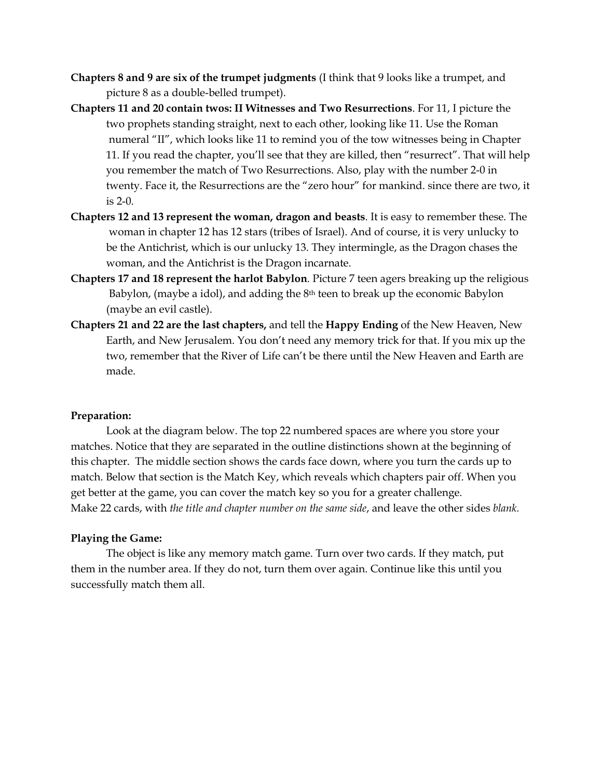- **Chapters 8 and 9 are six of the trumpet judgments** (I think that 9 looks like a trumpet, and picture 8 as a double-belled trumpet).
- **Chapters 11 and 20 contain twos: II Witnesses and Two Resurrections**. For 11, I picture the two prophets standing straight, next to each other, looking like 11. Use the Roman numeral "II", which looks like 11 to remind you of the tow witnesses being in Chapter 11. If you read the chapter, you'll see that they are killed, then "resurrect". That will help you remember the match of Two Resurrections. Also, play with the number 2-0 in twenty. Face it, the Resurrections are the "zero hour" for mankind. since there are two, it is 2-0.
- **Chapters 12 and 13 represent the woman, dragon and beasts**. It is easy to remember these. The woman in chapter 12 has 12 stars (tribes of Israel). And of course, it is very unlucky to be the Antichrist, which is our unlucky 13. They intermingle, as the Dragon chases the woman, and the Antichrist is the Dragon incarnate.
- **Chapters 17 and 18 represent the harlot Babylon**. Picture 7 teen agers breaking up the religious Babylon, (maybe a idol), and adding the 8<sup>th</sup> teen to break up the economic Babylon (maybe an evil castle).
- **Chapters 21 and 22 are the last chapters,** and tell the **Happy Ending** of the New Heaven, New Earth, and New Jerusalem. You don't need any memory trick for that. If you mix up the two, remember that the River of Life can't be there until the New Heaven and Earth are made.

#### **Preparation:**

Look at the diagram below. The top 22 numbered spaces are where you store your matches. Notice that they are separated in the outline distinctions shown at the beginning of this chapter. The middle section shows the cards face down, where you turn the cards up to match. Below that section is the Match Key, which reveals which chapters pair off. When you get better at the game, you can cover the match key so you for a greater challenge. Make 22 cards, with *the title and chapter number on the same side*, and leave the other sides *blank.*

#### **Playing the Game:**

The object is like any memory match game. Turn over two cards. If they match, put them in the number area. If they do not, turn them over again. Continue like this until you successfully match them all.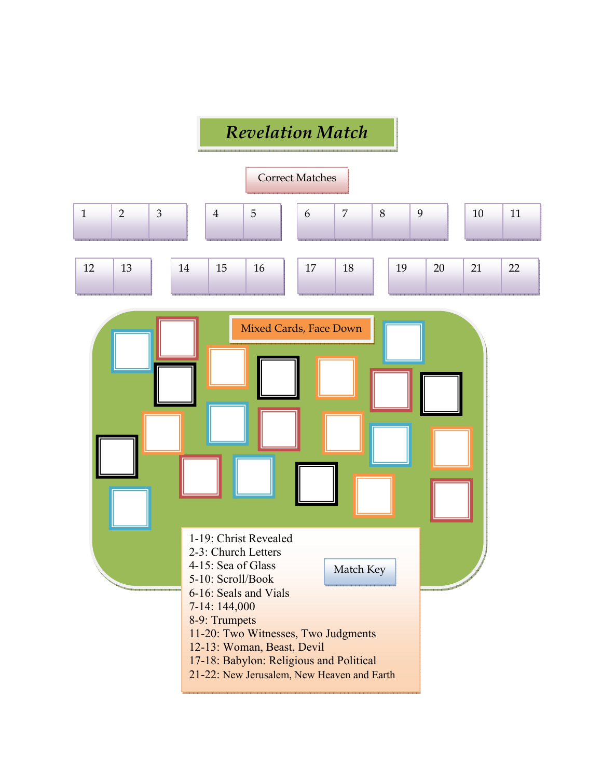# *Revelation Match*

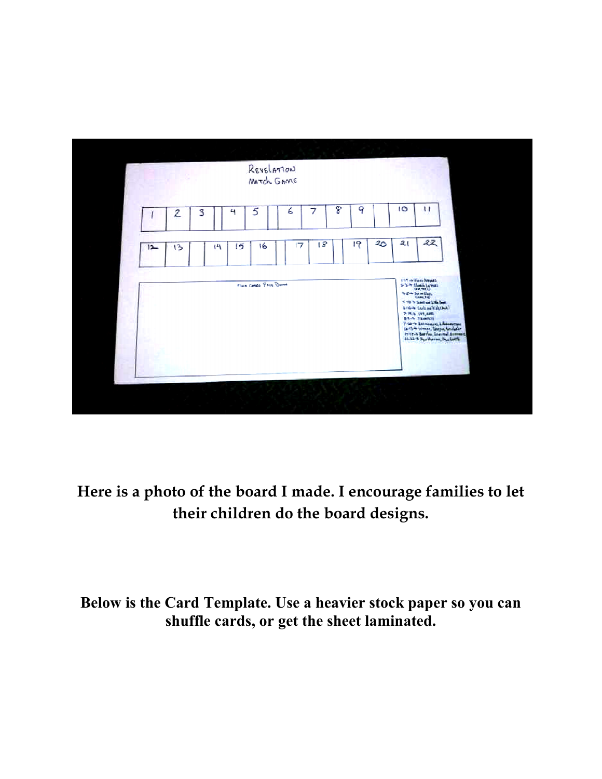

**Here is a photo of the board I made. I encourage families to let**  photo of the board I made. I encourage **their children do the board designs.** 

**Below is the Card Template. Use a heavier stock paper so you can shuffle cards, or get the sheet laminated. stock shuffle cards,**